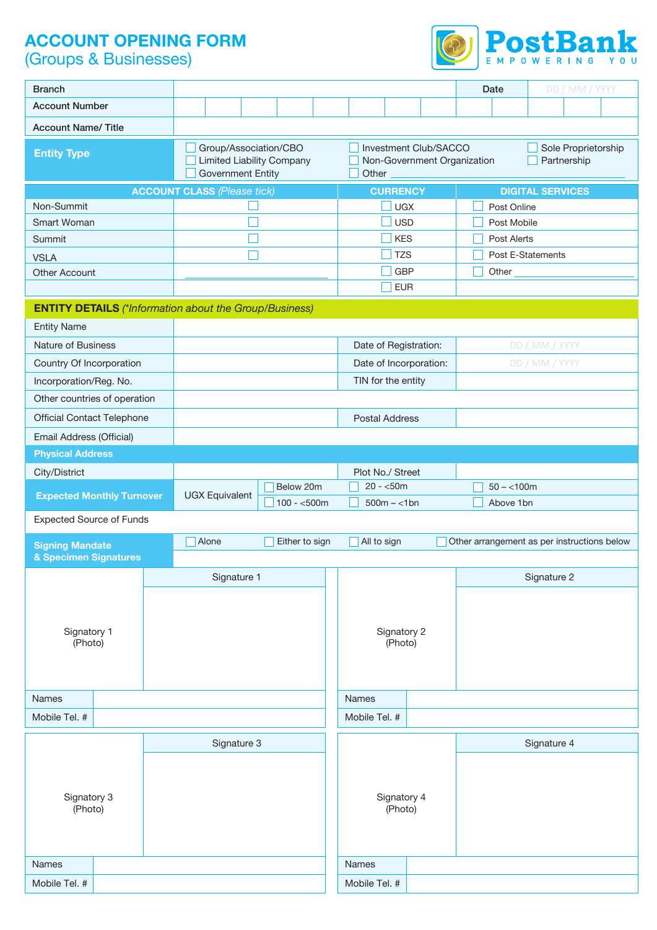# **ACCOUNT OPENING FORM**

(Groups & Businesses)



| <b>Branch</b>                     |                                                                                       |                                                               | <b>Date</b>                        | DD / MM / YYYY                              |  |  |  |
|-----------------------------------|---------------------------------------------------------------------------------------|---------------------------------------------------------------|------------------------------------|---------------------------------------------|--|--|--|
| <b>Account Number</b>             |                                                                                       |                                                               |                                    |                                             |  |  |  |
| <b>Account Name/ Title</b>        |                                                                                       |                                                               |                                    |                                             |  |  |  |
| <b>Entity Type</b>                | Group/Association/CBO<br><b>Limited Liability Company</b><br><b>Government Entity</b> | Investment Club/SACCO<br>Non-Government Organization<br>Other | Sole Proprietorship<br>Partnership |                                             |  |  |  |
|                                   | <b>ACCOUNT CLASS (Please tick)</b>                                                    | <b>CURRENCY</b>                                               |                                    | <b>DIGITAL SERVICES</b>                     |  |  |  |
| Non-Summit                        |                                                                                       | <b>UGX</b>                                                    | Post Online                        |                                             |  |  |  |
| Smart Woman                       |                                                                                       | <b>USD</b>                                                    | Post Mobile                        |                                             |  |  |  |
| Summit                            |                                                                                       | <b>KES</b>                                                    | Post Alerts                        |                                             |  |  |  |
| <b>VSLA</b>                       |                                                                                       | <b>TZS</b>                                                    |                                    | Post E-Statements                           |  |  |  |
| <b>Other Account</b>              |                                                                                       | <b>GBP</b>                                                    | Other                              |                                             |  |  |  |
|                                   |                                                                                       | <b>EUR</b>                                                    |                                    |                                             |  |  |  |
|                                   | <b>ENTITY DETAILS</b> (*Information about the Group/Business)                         |                                                               |                                    |                                             |  |  |  |
| <b>Entity Name</b>                |                                                                                       |                                                               |                                    |                                             |  |  |  |
| <b>Nature of Business</b>         |                                                                                       | Date of Registration:                                         |                                    | DD / MM / YYYY                              |  |  |  |
| Country Of Incorporation          |                                                                                       | Date of Incorporation:                                        |                                    | DD / MM / YYYY                              |  |  |  |
| Incorporation/Reg. No.            |                                                                                       | TIN for the entity                                            |                                    |                                             |  |  |  |
| Other countries of operation      |                                                                                       |                                                               |                                    |                                             |  |  |  |
| <b>Official Contact Telephone</b> |                                                                                       | <b>Postal Address</b>                                         |                                    |                                             |  |  |  |
| Email Address (Official)          |                                                                                       |                                                               |                                    |                                             |  |  |  |
| <b>Physical Address</b>           |                                                                                       |                                                               |                                    |                                             |  |  |  |
| City/District                     |                                                                                       | Plot No./ Street                                              |                                    |                                             |  |  |  |
|                                   | Below 20m                                                                             | $20 - 50m$                                                    | $50 - 100m$                        |                                             |  |  |  |
| <b>Expected Monthly Turnover</b>  | <b>UGX Equivalent</b><br>$100 - 500m$                                                 | $500m - <1bn$                                                 | Above 1bn                          |                                             |  |  |  |
| <b>Expected Source of Funds</b>   |                                                                                       |                                                               |                                    |                                             |  |  |  |
| <b>Signing Mandate</b>            | Alone<br>Either to sign                                                               | All to sign                                                   |                                    | Other arrangement as per instructions below |  |  |  |
| & Specimen Signatures             |                                                                                       |                                                               |                                    |                                             |  |  |  |
|                                   | Signature 1                                                                           |                                                               |                                    | Signature 2                                 |  |  |  |
|                                   |                                                                                       |                                                               |                                    |                                             |  |  |  |
|                                   |                                                                                       |                                                               |                                    |                                             |  |  |  |
| Signatory 1                       |                                                                                       | Signatory 2                                                   |                                    |                                             |  |  |  |
| (Photo)                           |                                                                                       | (Photo)                                                       |                                    |                                             |  |  |  |
|                                   |                                                                                       |                                                               |                                    |                                             |  |  |  |
|                                   |                                                                                       |                                                               |                                    |                                             |  |  |  |
| <b>Names</b>                      |                                                                                       | <b>Names</b>                                                  |                                    |                                             |  |  |  |
| Mobile Tel. #                     |                                                                                       | Mobile Tel. #                                                 |                                    |                                             |  |  |  |
|                                   | Signature 3                                                                           |                                                               |                                    | Signature 4                                 |  |  |  |
|                                   |                                                                                       |                                                               |                                    |                                             |  |  |  |
|                                   |                                                                                       |                                                               |                                    |                                             |  |  |  |
| Signatory 3                       |                                                                                       | Signatory 4                                                   |                                    |                                             |  |  |  |
| (Photo)                           |                                                                                       | (Photo)                                                       |                                    |                                             |  |  |  |
|                                   |                                                                                       |                                                               |                                    |                                             |  |  |  |
|                                   |                                                                                       |                                                               |                                    |                                             |  |  |  |
| Names                             |                                                                                       | Names                                                         |                                    |                                             |  |  |  |
| Mobile Tel. #                     |                                                                                       | Mobile Tel. #                                                 |                                    |                                             |  |  |  |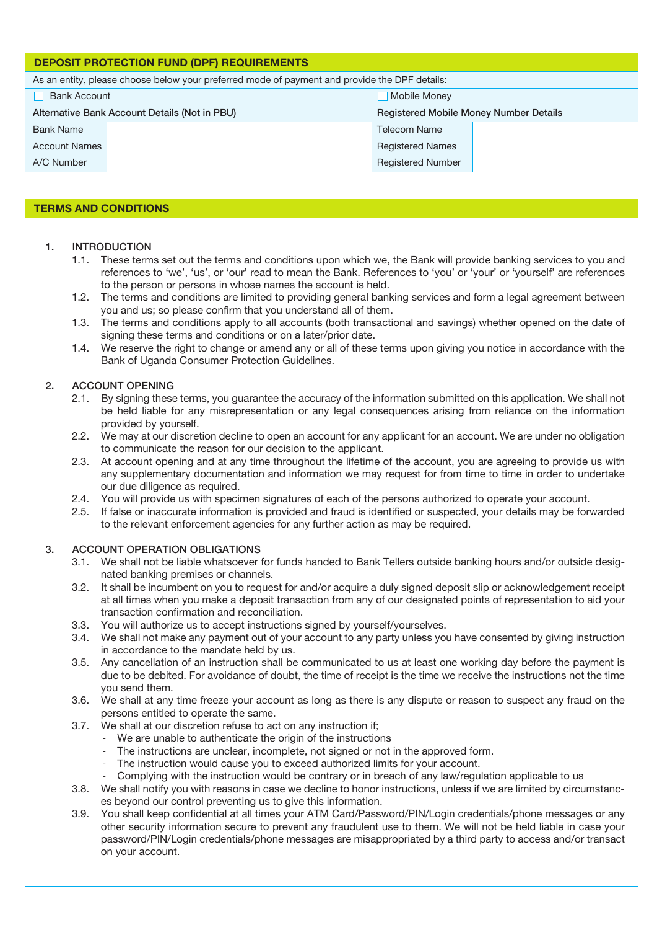| <b>DEPOSIT PROTECTION FUND (DPF) REQUIREMENTS</b>                                             |                                               |                                               |  |  |  |  |
|-----------------------------------------------------------------------------------------------|-----------------------------------------------|-----------------------------------------------|--|--|--|--|
| As an entity, please choose below your preferred mode of payment and provide the DPF details: |                                               |                                               |  |  |  |  |
| <b>Bank Account</b><br>Mobile Money                                                           |                                               |                                               |  |  |  |  |
|                                                                                               | Alternative Bank Account Details (Not in PBU) | <b>Registered Mobile Money Number Details</b> |  |  |  |  |
| <b>Bank Name</b>                                                                              |                                               | <b>Telecom Name</b>                           |  |  |  |  |
| <b>Account Names</b>                                                                          |                                               | <b>Registered Names</b>                       |  |  |  |  |
| A/C Number                                                                                    |                                               | <b>Registered Number</b>                      |  |  |  |  |

# **TERMS AND CONDITIONS**

#### 1. INTRODUCTION

- 1.1. These terms set out the terms and conditions upon which we, the Bank will provide banking services to you and references to 'we', 'us', or 'our' read to mean the Bank. References to 'you' or 'your' or 'yourself' are references to the person or persons in whose names the account is held.
- 1.2. The terms and conditions are limited to providing general banking services and form a legal agreement between you and us; so please confirm that you understand all of them.
- 1.3. The terms and conditions apply to all accounts (both transactional and savings) whether opened on the date of signing these terms and conditions or on a later/prior date.
- 1.4. We reserve the right to change or amend any or all of these terms upon giving you notice in accordance with the Bank of Uganda Consumer Protection Guidelines.

# 2. ACCOUNT OPENING

- 2.1. By signing these terms, you guarantee the accuracy of the information submitted on this application. We shall not be held liable for any misrepresentation or any legal consequences arising from reliance on the information provided by yourself.
- 2.2. We may at our discretion decline to open an account for any applicant for an account. We are under no obligation to communicate the reason for our decision to the applicant.
- 2.3. At account opening and at any time throughout the lifetime of the account, you are agreeing to provide us with any supplementary documentation and information we may request for from time to time in order to undertake our due diligence as required.
- 2.4. You will provide us with specimen signatures of each of the persons authorized to operate your account.
- 2.5. If false or inaccurate information is provided and fraud is identified or suspected, your details may be forwarded to the relevant enforcement agencies for any further action as may be required.

#### 3. ACCOUNT OPERATION OBLIGATIONS

- 3.1. We shall not be liable whatsoever for funds handed to Bank Tellers outside banking hours and/or outside designated banking premises or channels.
- 3.2. It shall be incumbent on you to request for and/or acquire a duly signed deposit slip or acknowledgement receipt at all times when you make a deposit transaction from any of our designated points of representation to aid your transaction confirmation and reconciliation.
- 3.3. You will authorize us to accept instructions signed by yourself/yourselves.
- 3.4. We shall not make any payment out of your account to any party unless you have consented by giving instruction in accordance to the mandate held by us.
- 3.5. Any cancellation of an instruction shall be communicated to us at least one working day before the payment is due to be debited. For avoidance of doubt, the time of receipt is the time we receive the instructions not the time you send them.
- 3.6. We shall at any time freeze your account as long as there is any dispute or reason to suspect any fraud on the persons entitled to operate the same.
- 3.7. We shall at our discretion refuse to act on any instruction if;
	- We are unable to authenticate the origin of the instructions
	- The instructions are unclear, incomplete, not signed or not in the approved form.
	- The instruction would cause you to exceed authorized limits for your account.
	- Complying with the instruction would be contrary or in breach of any law/regulation applicable to us
- 3.8. We shall notify you with reasons in case we decline to honor instructions, unless if we are limited by circumstances beyond our control preventing us to give this information.
- 3.9. You shall keep confidential at all times your ATM Card/Password/PIN/Login credentials/phone messages or any other security information secure to prevent any fraudulent use to them. We will not be held liable in case your password/PIN/Login credentials/phone messages are misappropriated by a third party to access and/or transact on your account.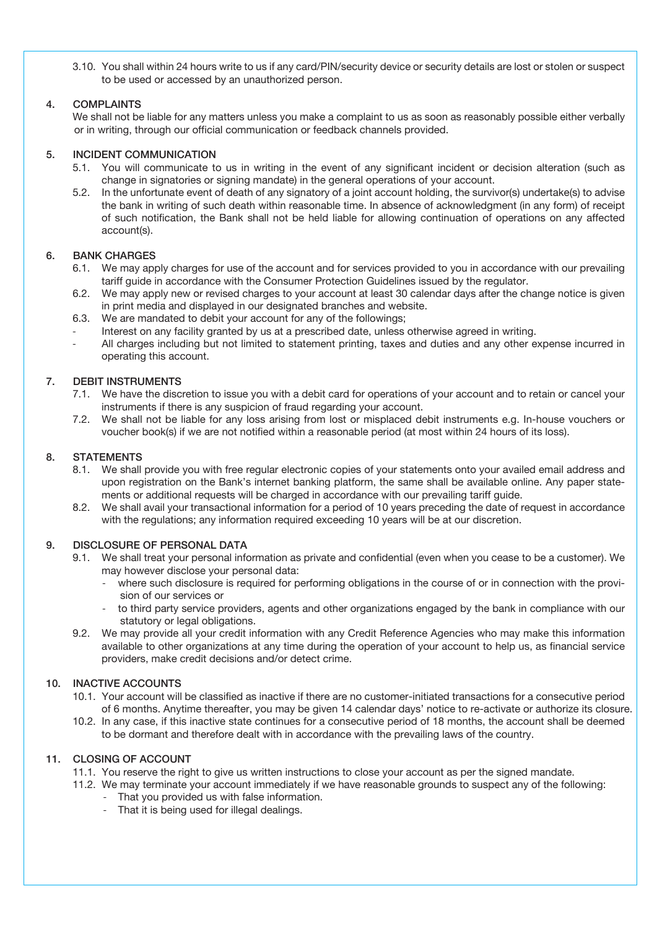3.10. You shall within 24 hours write to us if any card/PIN/security device or security details are lost or stolen or suspect to be used or accessed by an unauthorized person.

# 4. COMPLAINTS

We shall not be liable for any matters unless you make a complaint to us as soon as reasonably possible either verbally or in writing, through our official communication or feedback channels provided.

#### 5. INCIDENT COMMUNICATION

- 5.1. You will communicate to us in writing in the event of any significant incident or decision alteration (such as change in signatories or signing mandate) in the general operations of your account.
- 5.2. In the unfortunate event of death of any signatory of a joint account holding, the survivor(s) undertake(s) to advise the bank in writing of such death within reasonable time. In absence of acknowledgment (in any form) of receipt of such notification, the Bank shall not be held liable for allowing continuation of operations on any affected account(s).

#### 6. BANK CHARGES

- 6.1. We may apply charges for use of the account and for services provided to you in accordance with our prevailing tariff guide in accordance with the Consumer Protection Guidelines issued by the regulator.
- 6.2. We may apply new or revised charges to your account at least 30 calendar days after the change notice is given in print media and displayed in our designated branches and website.
- 6.3. We are mandated to debit your account for any of the followings;
- Interest on any facility granted by us at a prescribed date, unless otherwise agreed in writing.
- All charges including but not limited to statement printing, taxes and duties and any other expense incurred in operating this account.

#### 7. DEBIT INSTRUMENTS

- 7.1. We have the discretion to issue you with a debit card for operations of your account and to retain or cancel your instruments if there is any suspicion of fraud regarding your account.
- 7.2. We shall not be liable for any loss arising from lost or misplaced debit instruments e.g. In-house vouchers or voucher book(s) if we are not notified within a reasonable period (at most within 24 hours of its loss).

#### 8. STATEMENTS

- 8.1. We shall provide you with free regular electronic copies of your statements onto your availed email address and upon registration on the Bank's internet banking platform, the same shall be available online. Any paper statements or additional requests will be charged in accordance with our prevailing tariff guide.
- 8.2. We shall avail your transactional information for a period of 10 years preceding the date of request in accordance with the regulations; any information required exceeding 10 years will be at our discretion.

#### 9. DISCLOSURE OF PERSONAL DATA

- 9.1. We shall treat your personal information as private and confidential (even when you cease to be a customer). We may however disclose your personal data:
	- where such disclosure is required for performing obligations in the course of or in connection with the provision of our services or
	- to third party service providers, agents and other organizations engaged by the bank in compliance with our statutory or legal obligations.
- 9.2. We may provide all your credit information with any Credit Reference Agencies who may make this information available to other organizations at any time during the operation of your account to help us, as financial service providers, make credit decisions and/or detect crime.

# 10. INACTIVE ACCOUNTS

- 10.1. Your account will be classified as inactive if there are no customer-initiated transactions for a consecutive period of 6 months. Anytime thereafter, you may be given 14 calendar days' notice to re-activate or authorize its closure.
- 10.2. In any case, if this inactive state continues for a consecutive period of 18 months, the account shall be deemed to be dormant and therefore dealt with in accordance with the prevailing laws of the country.

# 11. CLOSING OF ACCOUNT

- 11.1. You reserve the right to give us written instructions to close your account as per the signed mandate.
- 11.2. We may terminate your account immediately if we have reasonable grounds to suspect any of the following:
	- That you provided us with false information.
	- That it is being used for illegal dealings.